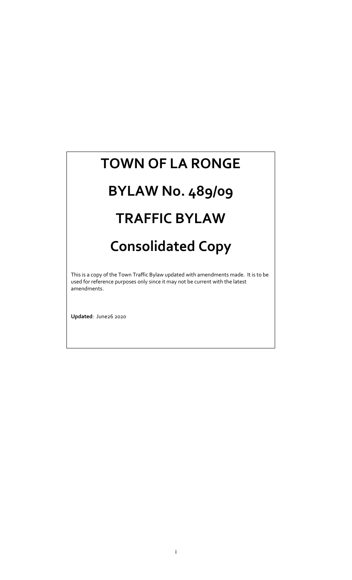## **TOWN OF LA RONGE**

# **BYLAW No. 489/09**

## **TRAFFIC BYLAW**

## **Consolidated Copy**

This is a copy of the Town Traffic Bylaw updated with amendments made. It is to be used for reference purposes only since it may not be current with the latest amendments.

**Updated**: June26 2020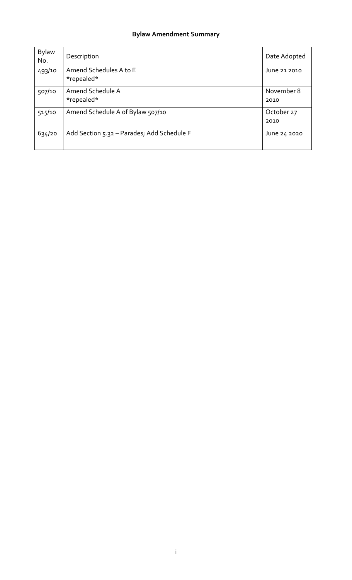## **Bylaw Amendment Summary**

| <b>Bylaw</b><br>No. | Description                                | Date Adopted       |
|---------------------|--------------------------------------------|--------------------|
| 493/10              | Amend Schedules A to E<br>*repealed*       | June 21 2010       |
| 507/10              | Amend Schedule A<br>*repealed*             | November 8<br>2010 |
| 515/10              | Amend Schedule A of Bylaw 507/10           | October 27<br>2010 |
| 634/20              | Add Section 5.32 - Parades; Add Schedule F | June 24 2020       |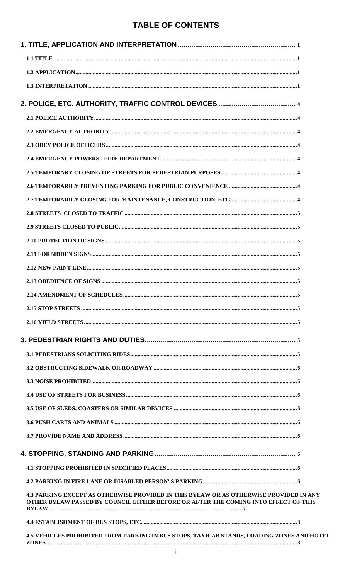## **TABLE OF CONTENTS**

| <b>4.3 PARKING EXCEPT AS OTHERWISE PROVIDED IN THIS BYLAW OR AS OTHERWISE PROVIDED IN ANY</b><br>OTHER BYLAW PASSED BY COUNCIL EITHER BEFORE OR AFTER THE COMING INTO EFFECT OF THIS |
|--------------------------------------------------------------------------------------------------------------------------------------------------------------------------------------|
|                                                                                                                                                                                      |
| <b>4.5 VEHICLES PROHIBITED FROM PARKING IN BUS STOPS, TAXICAB STANDS, LOADING ZONES AND HOTEL</b>                                                                                    |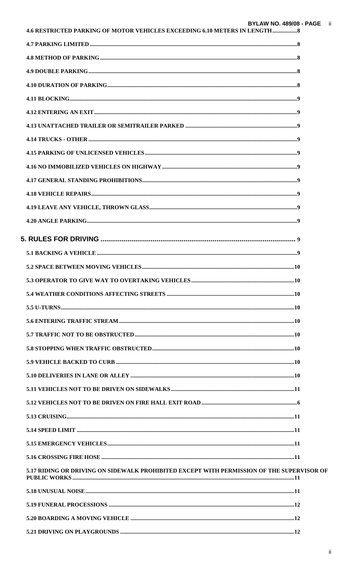| 4.6 RESTRICTED PARKING OF MOTOR VEHICLES EXCEEDING 6.10 METERS IN LENGTH 8                |  |
|-------------------------------------------------------------------------------------------|--|
|                                                                                           |  |
|                                                                                           |  |
|                                                                                           |  |
|                                                                                           |  |
|                                                                                           |  |
|                                                                                           |  |
|                                                                                           |  |
|                                                                                           |  |
|                                                                                           |  |
|                                                                                           |  |
|                                                                                           |  |
|                                                                                           |  |
|                                                                                           |  |
|                                                                                           |  |
|                                                                                           |  |
|                                                                                           |  |
|                                                                                           |  |
|                                                                                           |  |
|                                                                                           |  |
|                                                                                           |  |
|                                                                                           |  |
|                                                                                           |  |
|                                                                                           |  |
|                                                                                           |  |
|                                                                                           |  |
|                                                                                           |  |
|                                                                                           |  |
|                                                                                           |  |
|                                                                                           |  |
|                                                                                           |  |
|                                                                                           |  |
|                                                                                           |  |
| 5.17 RIDING OR DRIVING ON SIDEWALK PROHIBITED EXCEPT WITH PERMISSION OF THE SUPERVISOR OF |  |
|                                                                                           |  |
|                                                                                           |  |
|                                                                                           |  |
|                                                                                           |  |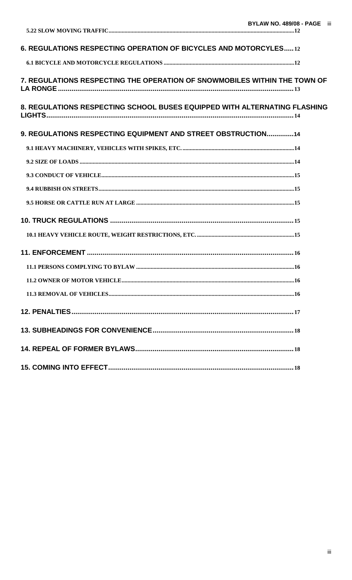| 6. REGULATIONS RESPECTING OPERATION OF BICYCLES AND MOTORCYLES12          |  |
|---------------------------------------------------------------------------|--|
|                                                                           |  |
| 7. REGULATIONS RESPECTING THE OPERATION OF SNOWMOBILES WITHIN THE TOWN OF |  |
| 8. REGULATIONS RESPECTING SCHOOL BUSES EQUIPPED WITH ALTERNATING FLASHING |  |
| 9. REGULATIONS RESPECTING EQUIPMENT AND STREET OBSTRUCTION14              |  |
|                                                                           |  |
|                                                                           |  |
|                                                                           |  |
|                                                                           |  |
|                                                                           |  |
|                                                                           |  |
|                                                                           |  |
|                                                                           |  |
|                                                                           |  |
|                                                                           |  |
|                                                                           |  |
|                                                                           |  |
|                                                                           |  |
|                                                                           |  |
|                                                                           |  |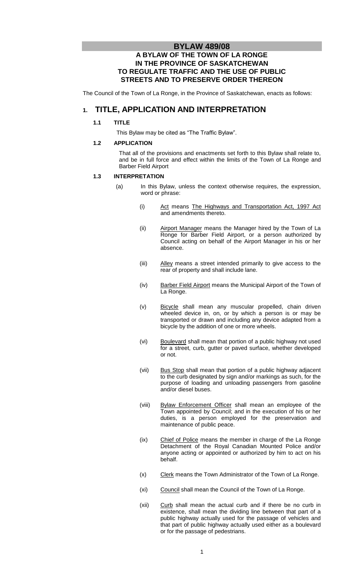## **BYLAW 489/08**

## **A BYLAW OF THE TOWN OF LA RONGE IN THE PROVINCE OF SASKATCHEWAN TO REGULATE TRAFFIC AND THE USE OF PUBLIC STREETS AND TO PRESERVE ORDER THEREON**

The Council of the Town of La Ronge, in the Province of Saskatchewan, enacts as follows:

## **1. TITLE, APPLICATION AND INTERPRETATION**

#### **1.1 TITLE**

This Bylaw may be cited as "The Traffic Bylaw".

#### **1.2 APPLICATION**

That all of the provisions and enactments set forth to this Bylaw shall relate to, and be in full force and effect within the limits of the Town of La Ronge and Barber Field Airport

#### **1.3 INTERPRETATION**

- (a) In this Bylaw, unless the context otherwise requires, the expression, word or phrase:
	- (i) Act means The Highways and Transportation Act, 1997 Act and amendments thereto.
	- (ii) Airport Manager means the Manager hired by the Town of La Ronge for Barber Field Airport, or a person authorized by Council acting on behalf of the Airport Manager in his or her absence.
	- (iii) Alley means a street intended primarily to give access to the rear of property and shall include lane.
	- (iv) Barber Field Airport means the Municipal Airport of the Town of La Ronge.
	- (v) Bicycle shall mean any muscular propelled, chain driven wheeled device in, on, or by which a person is or may be transported or drawn and including any device adapted from a bicycle by the addition of one or more wheels.
	- (vi) Boulevard shall mean that portion of a public highway not used for a street, curb, gutter or paved surface, whether developed or not.
	- (vii) Bus Stop shall mean that portion of a public highway adjacent to the curb designated by sign and/or markings as such, for the purpose of loading and unloading passengers from gasoline and/or diesel buses.
	- (viii) Bylaw Enforcement Officer shall mean an employee of the Town appointed by Council; and in the execution of his or her duties, is a person employed for the preservation and maintenance of public peace.
	- (ix) Chief of Police means the member in charge of the La Ronge Detachment of the Royal Canadian Mounted Police and/or anyone acting or appointed or authorized by him to act on his behalf.
	- (x) Clerk means the Town Administrator of the Town of La Ronge.
	- (xi) Council shall mean the Council of the Town of La Ronge.
	- (xii) Curb shall mean the actual curb and if there be no curb in existence, shall mean the dividing line between that part of a public highway actually used for the passage of vehicles and that part of public highway actually used either as a boulevard or for the passage of pedestrians.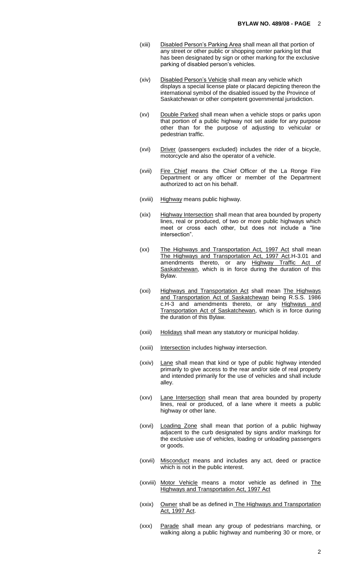- (xiii) Disabled Person's Parking Area shall mean all that portion of any street or other public or shopping center parking lot that has been designated by sign or other marking for the exclusive parking of disabled person's vehicles.
- (xiv) Disabled Person's Vehicle shall mean any vehicle which displays a special license plate or placard depicting thereon the international symbol of the disabled issued by the Province of Saskatchewan or other competent governmental jurisdiction.
- (xv) Double Parked shall mean when a vehicle stops or parks upon that portion of a public highway not set aside for any purpose other than for the purpose of adjusting to vehicular or pedestrian traffic.
- (xvi) Driver (passengers excluded) includes the rider of a bicycle, motorcycle and also the operator of a vehicle.
- (xvii) Fire Chief means the Chief Officer of the La Ronge Fire Department or any officer or member of the Department authorized to act on his behalf.
- (xviii) Highway means public highway.
- (xix) Highway Intersection shall mean that area bounded by property lines, real or produced, of two or more public highways which meet or cross each other, but does not include a "line intersection".
- (xx) The Highways and Transportation Act, 1997 Act shall mean The Highways and Transportation Act, 1997 Act.H-3.01 and amendments thereto, or any Highway Traffic Act of Saskatchewan, which is in force during the duration of this Bylaw.
- (xxi) Highways and Transportation Act shall mean The Highways and Transportation Act of Saskatchewan being R.S.S. 1986 c.H-3 and amendments thereto, or any Highways and Transportation Act of Saskatchewan, which is in force during the duration of this Bylaw.
- (xxii) Holidays shall mean any statutory or municipal holiday.
- (xxiii) Intersection includes highway intersection.
- (xxiv) Lane shall mean that kind or type of public highway intended primarily to give access to the rear and/or side of real property and intended primarily for the use of vehicles and shall include alley.
- (xxv) Lane Intersection shall mean that area bounded by property lines, real or produced, of a lane where it meets a public highway or other lane.
- (xxvi) Loading Zone shall mean that portion of a public highway adjacent to the curb designated by signs and/or markings for the exclusive use of vehicles, loading or unloading passengers or goods.
- (xxvii) Misconduct means and includes any act, deed or practice which is not in the public interest.
- (xxviii) Motor Vehicle means a motor vehicle as defined in The Highways and Transportation Act, 1997 Act
- (xxix) Owner shall be as defined in The Highways and Transportation Act, 1997 Act.
- (xxx) Parade shall mean any group of pedestrians marching, or walking along a public highway and numbering 30 or more, or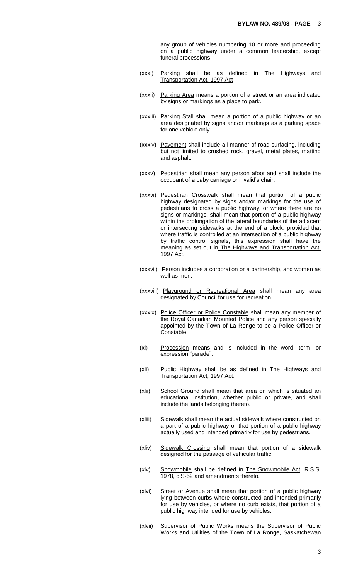any group of vehicles numbering 10 or more and proceeding on a public highway under a common leadership, except funeral processions.

- (xxxi) Parking shall be as defined in The Highways and Transportation Act, 1997 Act
- (xxxii) Parking Area means a portion of a street or an area indicated by signs or markings as a place to park.
- (xxxiii) Parking Stall shall mean a portion of a public highway or an area designated by signs and/or markings as a parking space for one vehicle only.
- (xxxiv) Pavement shall include all manner of road surfacing, including but not limited to crushed rock, gravel, metal plates, matting and asphalt.
- (xxxv) Pedestrian shall mean any person afoot and shall include the occupant of a baby carriage or invalid's chair.
- (xxxvi) Pedestrian Crosswalk shall mean that portion of a public highway designated by signs and/or markings for the use of pedestrians to cross a public highway, or where there are no signs or markings, shall mean that portion of a public highway within the prolongation of the lateral boundaries of the adjacent or intersecting sidewalks at the end of a block, provided that where traffic is controlled at an intersection of a public highway by traffic control signals, this expression shall have the meaning as set out in The Highways and Transportation Act, 1997 Act.
- (xxxvii) Person includes a corporation or a partnership, and women as well as men.
- (xxxviii) Playground or Recreational Area shall mean any area designated by Council for use for recreation.
- (xxxix) Police Officer or Police Constable shall mean any member of the Royal Canadian Mounted Police and any person specially appointed by the Town of La Ronge to be a Police Officer or Constable.
- (xl) Procession means and is included in the word, term, or expression "parade".
- (xli) Public Highway shall be as defined in The Highways and Transportation Act, 1997 Act.
- (xlii) School Ground shall mean that area on which is situated an educational institution, whether public or private, and shall include the lands belonging thereto.
- (xliii) Sidewalk shall mean the actual sidewalk where constructed on a part of a public highway or that portion of a public highway actually used and intended primarily for use by pedestrians.
- (xliv) Sidewalk Crossing shall mean that portion of a sidewalk designed for the passage of vehicular traffic.
- (xlv) Snowmobile shall be defined in The Snowmobile Act, R.S.S. 1978, c.S-52 and amendments thereto.
- (xlvi) Street or Avenue shall mean that portion of a public highway lying between curbs where constructed and intended primarily for use by vehicles, or where no curb exists, that portion of a public highway intended for use by vehicles.
- (xlvii) Supervisor of Public Works means the Supervisor of Public Works and Utilities of the Town of La Ronge, Saskatchewan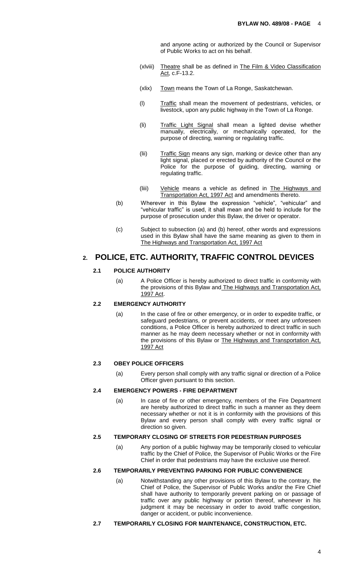and anyone acting or authorized by the Council or Supervisor of Public Works to act on his behalf.

- (xlviii) Theatre shall be as defined in The Film & Video Classification Act, c.F-13.2.
- (xlix) Town means the Town of La Ronge, Saskatchewan.
- (l) Traffic shall mean the movement of pedestrians, vehicles, or livestock, upon any public highway in the Town of La Ronge.
- (li) Traffic Light Signal shall mean a lighted devise whether manually, electrically, or mechanically operated, for the purpose of directing, warning or regulating traffic.
- (lii) Traffic Sign means any sign, marking or device other than any light signal, placed or erected by authority of the Council or the Police for the purpose of guiding, directing, warning or regulating traffic.
- (liii) Vehicle means a vehicle as defined in The Highways and Transportation Act, 1997 Act and amendments thereto.
- (b) Wherever in this Bylaw the expression "vehicle", "vehicular" and "vehicular traffic" is used, it shall mean and be held to include for the purpose of prosecution under this Bylaw, the driver or operator.
- (c) Subject to subsection (a) and (b) hereof, other words and expressions used in this Bylaw shall have the same meaning as given to them in The Highways and Transportation Act, 1997 Act

## **2. POLICE, ETC. AUTHORITY, TRAFFIC CONTROL DEVICES**

#### **2.1 POLICE AUTHORITY**

(a) A Police Officer is hereby authorized to direct traffic in conformity with the provisions of this Bylaw and The Highways and Transportation Act, 1997 Act.

## **2.2 EMERGENCY AUTHORITY**

(a) In the case of fire or other emergency, or in order to expedite traffic, or safeguard pedestrians, or prevent accidents, or meet any unforeseen conditions, a Police Officer is hereby authorized to direct traffic in such manner as he may deem necessary whether or not in conformity with the provisions of this Bylaw or The Highways and Transportation Act, 1997 Act

#### **2.3 OBEY POLICE OFFICERS**

(a) Every person shall comply with any traffic signal or direction of a Police Officer given pursuant to this section.

#### **2.4 EMERGENCY POWERS - FIRE DEPARTMENT**

(a) In case of fire or other emergency, members of the Fire Department are hereby authorized to direct traffic in such a manner as they deem necessary whether or not it is in conformity with the provisions of this Bylaw and every person shall comply with every traffic signal or direction so given.

#### **2.5 TEMPORARY CLOSING OF STREETS FOR PEDESTRIAN PURPOSES**

(a) Any portion of a public highway may be temporarily closed to vehicular traffic by the Chief of Police, the Supervisor of Public Works or the Fire Chief in order that pedestrians may have the exclusive use thereof.

## **2.6 TEMPORARILY PREVENTING PARKING FOR PUBLIC CONVENIENCE**

(a) Notwithstanding any other provisions of this Bylaw to the contrary, the Chief of Police, the Supervisor of Public Works and/or the Fire Chief shall have authority to temporarily prevent parking on or passage of traffic over any public highway or portion thereof, whenever in his judgment it may be necessary in order to avoid traffic congestion, danger or accident, or public inconvenience.

#### **2.7 TEMPORARILY CLOSING FOR MAINTENANCE, CONSTRUCTION, ETC.**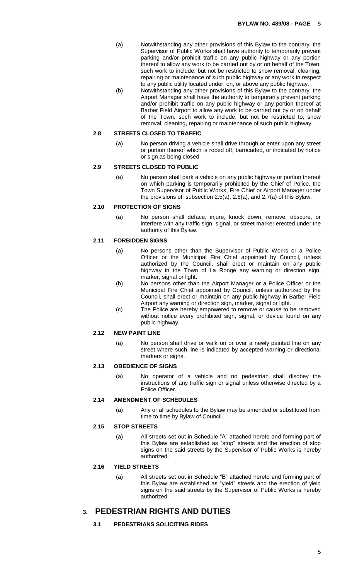- (a) Notwithstanding any other provisions of this Bylaw to the contrary, the Supervisor of Public Works shall have authority to temporarily prevent parking and/or prohibit traffic on any public highway or any portion thereof to allow any work to be carried out by or on behalf of the Town, such work to include, but not be restricted to snow removal, cleaning, repairing or maintenance of such public highway or any work in respect to any public utility located under, on, or above any public highway.
- (b) Notwithstanding any other provisions of this Bylaw to the contrary, the Airport Manager shall have the authority to temporarily prevent parking and/or prohibit traffic on any public highway or any portion thereof at Barber Field Airport to allow any work to be carried out by or on behalf of the Town, such work to include, but not be restricted to, snow removal, cleaning, repairing or maintenance of such public highway.

#### **2.8 STREETS CLOSED TO TRAFFIC**

(a) No person driving a vehicle shall drive through or enter upon any street or portion thereof which is roped off, barricaded, or indicated by notice or sign as being closed.

#### **2.9 STREETS CLOSED TO PUBLIC**

(a) No person shall park a vehicle on any public highway or portion thereof on which parking is temporarily prohibited by the Chief of Police, the Town Supervisor of Public Works, Fire Chief or Airport Manager under the provisions of subsection 2.5(a), 2.6(a), and 2.7(a) of this Bylaw.

#### **2.10 PROTECTION OF SIGNS**

(a) No person shall deface, injure, knock down, remove, obscure, or interfere with any traffic sign, signal, or street marker erected under the authority of this Bylaw.

#### **2.11 FORBIDDEN SIGNS**

- (a) No persons other than the Supervisor of Public Works or a Police Officer or the Municipal Fire Chief appointed by Council, unless authorized by the Council, shall erect or maintain on any public highway in the Town of La Ronge any warning or direction sign, marker, signal or light.
- (b) No persons other than the Airport Manager or a Police Officer or the Municipal Fire Chief appointed by Council, unless authorized by the Council, shall erect or maintain on any public highway in Barber Field Airport any warning or direction sign, marker, signal or light.
- (c) The Police are hereby empowered to remove or cause to be removed without notice every prohibited sign, signal, or device found on any public highway.

#### **2.12 NEW PAINT LINE**

(a) No person shall drive or walk on or over a newly painted line on any street where such line is indicated by accepted warning or directional markers or signs.

#### **2.13 OBEDIENCE OF SIGNS**

(a) No operator of a vehicle and no pedestrian shall disobey the instructions of any traffic sign or signal unless otherwise directed by a Police Officer.

#### **2.14 AMENDMENT OF SCHEDULES**

(a) Any or all schedules to the Bylaw may be amended or substituted from time to time by Bylaw of Council.

#### **2.15 STOP STREETS**

(a) All streets set out in Schedule "A" attached hereto and forming part of this Bylaw are established as "stop" streets and the erection of stop signs on the said streets by the Supervisor of Public Works is hereby authorized.

#### **2.16 YIELD STREETS**

(a) All streets set out in Schedule "B" attached hereto and forming part of this Bylaw are established as "yield" streets and the erection of yield signs on the said streets by the Supervisor of Public Works is hereby authorized.

## **3. PEDESTRIAN RIGHTS AND DUTIES**

**3.1 PEDESTRIANS SOLICITING RIDES**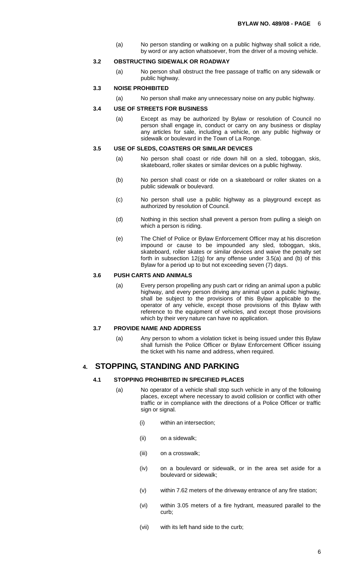(a) No person standing or walking on a public highway shall solicit a ride, by word or any action whatsoever, from the driver of a moving vehicle.

#### **3.2 OBSTRUCTING SIDEWALK OR ROADWAY**

(a) No person shall obstruct the free passage of traffic on any sidewalk or public highway.

## **3.3 NOISE PROHIBITED**

(a) No person shall make any unnecessary noise on any public highway.

#### **3.4 USE OF STREETS FOR BUSINESS**

(a) Except as may be authorized by Bylaw or resolution of Council no person shall engage in, conduct or carry on any business or display any articles for sale, including a vehicle, on any public highway or sidewalk or boulevard in the Town of La Ronge.

#### **3.5 USE OF SLEDS, COASTERS OR SIMILAR DEVICES**

- (a) No person shall coast or ride down hill on a sled, toboggan, skis, skateboard, roller skates or similar devices on a public highway.
- (b) No person shall coast or ride on a skateboard or roller skates on a public sidewalk or boulevard.
- (c) No person shall use a public highway as a playground except as authorized by resolution of Council.
- (d) Nothing in this section shall prevent a person from pulling a sleigh on which a person is riding.
- (e) The Chief of Police or Bylaw Enforcement Officer may at his discretion impound or cause to be impounded any sled, toboggan, skis, skateboard, roller skates or similar devices and waive the penalty set forth in subsection 12(g) for any offense under 3.5(a) and (b) of this Bylaw for a period up to but not exceeding seven (7) days.

#### **3.6 PUSH CARTS AND ANIMALS**

(a) Every person propelling any push cart or riding an animal upon a public highway, and every person driving any animal upon a public highway, shall be subject to the provisions of this Bylaw applicable to the operator of any vehicle, except those provisions of this Bylaw with reference to the equipment of vehicles, and except those provisions which by their very nature can have no application.

#### **3.7 PROVIDE NAME AND ADDRESS**

(a) Any person to whom a violation ticket is being issued under this Bylaw shall furnish the Police Officer or Bylaw Enforcement Officer issuing the ticket with his name and address, when required.

### **4. STOPPING, STANDING AND PARKING**

#### **4.1 STOPPING PROHIBITED IN SPECIFIED PLACES**

- (a) No operator of a vehicle shall stop such vehicle in any of the following places, except where necessary to avoid collision or conflict with other traffic or in compliance with the directions of a Police Officer or traffic sign or signal.
	- (i) within an intersection;
	- (ii) on a sidewalk;
	- (iii) on a crosswalk;
	- (iv) on a boulevard or sidewalk, or in the area set aside for a boulevard or sidewalk;
	- (v) within 7.62 meters of the driveway entrance of any fire station;
	- (vi) within 3.05 meters of a fire hydrant, measured parallel to the curb;
	- (vii) with its left hand side to the curb;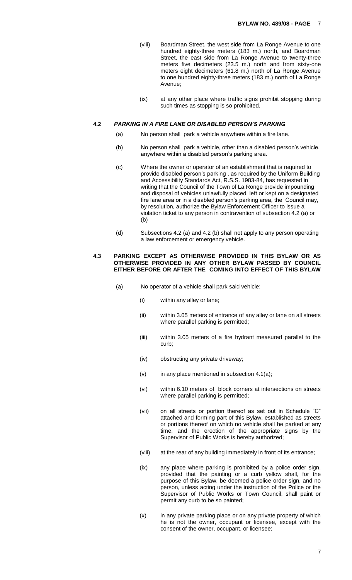- (viii) Boardman Street, the west side from La Ronge Avenue to one hundred eighty-three meters (183 m.) north, and Boardman Street, the east side from La Ronge Avenue to twenty-three meters five decimeters (23.5 m.) north and from sixty-one meters eight decimeters (61.8 m.) north of La Ronge Avenue to one hundred eighty-three meters (183 m.) north of La Ronge Avenue;
- (ix) at any other place where traffic signs prohibit stopping during such times as stopping is so prohibited.

#### **4.2** *PARKING IN A FIRE LANE OR DISABLED PERSON'S PARKING*

- (a) No person shall park a vehicle anywhere within a fire lane.
- (b) No person shall park a vehicle, other than a disabled person's vehicle, anywhere within a disabled person's parking area.
- (c) Where the owner or operator of an establishment that is required to provide disabled person's parking , as required by the Uniform Building and Accessibility Standards Act, R.S.S. 1983-84, has requested in writing that the Council of the Town of La Ronge provide impounding and disposal of vehicles unlawfully placed, left or kept on a designated fire lane area or in a disabled person's parking area, the Council may, by resolution, authorize the Bylaw Enforcement Officer to issue a violation ticket to any person in contravention of subsection 4.2 (a) or (b)
- (d) Subsections 4.2 (a) and 4.2 (b) shall not apply to any person operating a law enforcement or emergency vehicle.

#### **4.3 PARKING EXCEPT AS OTHERWISE PROVIDED IN THIS BYLAW OR AS OTHERWISE PROVIDED IN ANY OTHER BYLAW PASSED BY COUNCIL EITHER BEFORE OR AFTER THE COMING INTO EFFECT OF THIS BYLAW**

- (a) No operator of a vehicle shall park said vehicle:
	- (i) within any alley or lane;
	- (ii) within 3.05 meters of entrance of any alley or lane on all streets where parallel parking is permitted;
	- (iii) within 3.05 meters of a fire hydrant measured parallel to the curb;
	- (iv) obstructing any private driveway;
	- $(v)$  in any place mentioned in subsection 4.1(a);
	- (vi) within 6.10 meters of block corners at intersections on streets where parallel parking is permitted;
	- (vii) on all streets or portion thereof as set out in Schedule "C" attached and forming part of this Bylaw, established as streets or portions thereof on which no vehicle shall be parked at any time, and the erection of the appropriate signs by the Supervisor of Public Works is hereby authorized;
	- (viii) at the rear of any building immediately in front of its entrance;
	- (ix) any place where parking is prohibited by a police order sign, provided that the painting or a curb yellow shall, for the purpose of this Bylaw, be deemed a police order sign, and no person, unless acting under the instruction of the Police or the Supervisor of Public Works or Town Council, shall paint or permit any curb to be so painted;
	- (x) in any private parking place or on any private property of which he is not the owner, occupant or licensee, except with the consent of the owner, occupant, or licensee;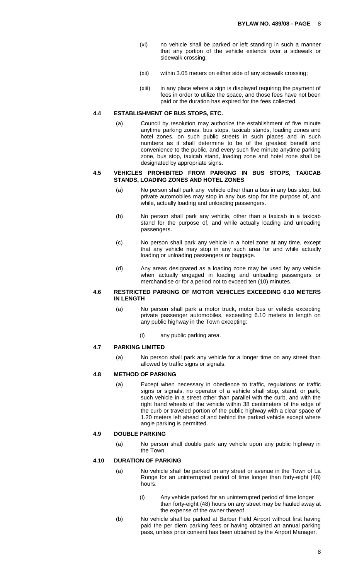- (xi) no vehicle shall be parked or left standing in such a manner that any portion of the vehicle extends over a sidewalk or sidewalk crossing;
- (xii) within 3.05 meters on either side of any sidewalk crossing;
- (xiii) in any place where a sign is displayed requiring the payment of fees in order to utilize the space, and those fees have not been paid or the duration has expired for the fees collected.

#### **4.4 ESTABLISHMENT OF BUS STOPS, ETC.**

(a) Council by resolution may authorize the establishment of five minute anytime parking zones, bus stops, taxicab stands, loading zones and hotel zones, on such public streets in such places and in such numbers as it shall determine to be of the greatest benefit and convenience to the public, and every such five minute anytime parking zone, bus stop, taxicab stand, loading zone and hotel zone shall be designated by appropriate signs.

#### **4.5 VEHICLES PROHIBITED FROM PARKING IN BUS STOPS, TAXICAB STANDS, LOADING ZONES AND HOTEL ZONES**

- (a) No person shall park any vehicle other than a bus in any bus stop, but private automobiles may stop in any bus stop for the purpose of, and while, actually loading and unloading passengers.
- (b) No person shall park any vehicle, other than a taxicab in a taxicab stand for the purpose of, and while actually loading and unloading passengers.
- (c) No person shall park any vehicle in a hotel zone at any time, except that any vehicle may stop in any such area for and while actually loading or unloading passengers or baggage.
- (d) Any areas designated as a loading zone may be used by any vehicle when actually engaged in loading and unloading passengers or merchandise or for a period not to exceed ten (10) minutes.

#### **4.6 RESTRICTED PARKING OF MOTOR VEHICLES EXCEEDING 6.10 METERS IN LENGTH**

- (a) No person shall park a motor truck, motor bus or vehicle excepting private passenger automobiles, exceeding 6.10 meters in length on any public highway in the Town excepting:
	- (i) any public parking area.

## **4.7 PARKING LIMITED**

(a) No person shall park any vehicle for a longer time on any street than allowed by traffic signs or signals.

#### **4.8 METHOD OF PARKING**

(a) Except when necessary in obedience to traffic, regulations or traffic signs or signals, no operator of a vehicle shall stop, stand, or park, such vehicle in a street other than parallel with the curb, and with the right hand wheels of the vehicle within 38 centimeters of the edge of the curb or traveled portion of the public highway with a clear space of 1.20 meters left ahead of and behind the parked vehicle except where angle parking is permitted.

#### **4.9 DOUBLE PARKING**

(a) No person shall double park any vehicle upon any public highway in the Town.

#### **4.10 DURATION OF PARKING**

- (a) No vehicle shall be parked on any street or avenue in the Town of La Ronge for an uninterrupted period of time longer than forty-eight (48) hours.
	- (i) Any vehicle parked for an uninterrupted period of time longer than forty-eight (48) hours on any street may be hauled away at the expense of the owner thereof.
- (b) No vehicle shall be parked at Barber Field Airport without first having paid the per diem parking fees or having obtained an annual parking pass, unless prior consent has been obtained by the Airport Manager.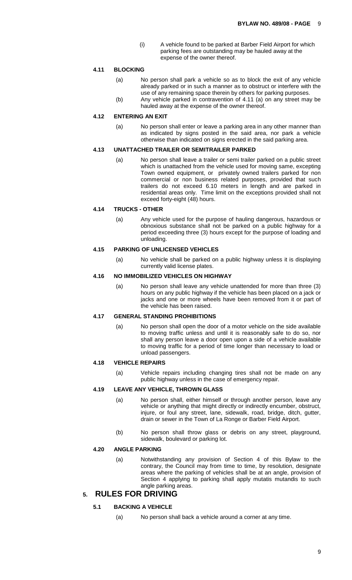(i) A vehicle found to be parked at Barber Field Airport for which parking fees are outstanding may be hauled away at the expense of the owner thereof.

#### **4.11 BLOCKING**

- (a) No person shall park a vehicle so as to block the exit of any vehicle already parked or in such a manner as to obstruct or interfere with the use of any remaining space therein by others for parking purposes.
- (b) Any vehicle parked in contravention of 4.11 (a) on any street may be hauled away at the expense of the owner thereof.

#### **4.12 ENTERING AN EXIT**

(a) No person shall enter or leave a parking area in any other manner than as indicated by signs posted in the said area, nor park a vehicle otherwise than indicated on signs erected in the said parking area.

#### **4.13 UNATTACHED TRAILER OR SEMITRAILER PARKED**

(a) No person shall leave a trailer or semi trailer parked on a public street which is unattached from the vehicle used for moving same, excepting Town owned equipment, or privately owned trailers parked for non commercial or non business related purposes, provided that such trailers do not exceed 6.10 meters in length and are parked in residential areas only. Time limit on the exceptions provided shall not exceed forty-eight (48) hours.

#### **4.14 TRUCKS - OTHER**

(a) Any vehicle used for the purpose of hauling dangerous, hazardous or obnoxious substance shall not be parked on a public highway for a period exceeding three (3) hours except for the purpose of loading and unloading.

#### **4.15 PARKING OF UNLICENSED VEHICLES**

(a) No vehicle shall be parked on a public highway unless it is displaying currently valid license plates.

#### **4.16 NO IMMOBILIZED VEHICLES ON HIGHWAY**

(a) No person shall leave any vehicle unattended for more than three (3) hours on any public highway if the vehicle has been placed on a jack or jacks and one or more wheels have been removed from it or part of the vehicle has been raised.

## **4.17 GENERAL STANDING PROHIBITIONS**

(a) No person shall open the door of a motor vehicle on the side available to moving traffic unless and until it is reasonably safe to do so, nor shall any person leave a door open upon a side of a vehicle available to moving traffic for a period of time longer than necessary to load or unload passengers.

## **4.18 VEHICLE REPAIRS**

(a) Vehicle repairs including changing tires shall not be made on any public highway unless in the case of emergency repair.

#### **4.19 LEAVE ANY VEHICLE, THROWN GLASS**

- (a) No person shall, either himself or through another person, leave any vehicle or anything that might directly or indirectly encumber, obstruct, injure, or foul any street, lane, sidewalk, road, bridge, ditch, gutter, drain or sewer in the Town of La Ronge or Barber Field Airport.
- (b) No person shall throw glass or debris on any street, playground, sidewalk, boulevard or parking lot.

#### **4.20 ANGLE PARKING**

(a) Notwithstanding any provision of Section 4 of this Bylaw to the contrary, the Council may from time to time, by resolution, designate areas where the parking of vehicles shall be at an angle, provision of Section 4 applying to parking shall apply mutatis mutandis to such angle parking areas.

## **5. RULES FOR DRIVING**

#### **5.1 BACKING A VEHICLE**

(a) No person shall back a vehicle around a corner at any time.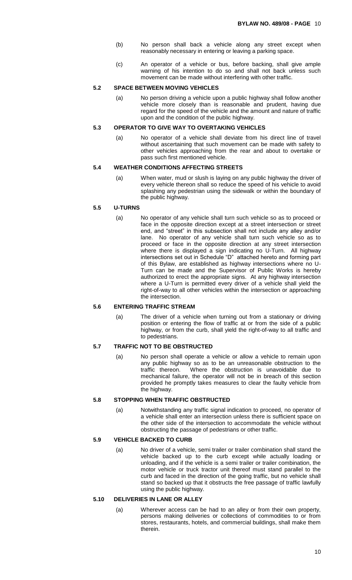- (b) No person shall back a vehicle along any street except when reasonably necessary in entering or leaving a parking space.
- (c) An operator of a vehicle or bus, before backing, shall give ample warning of his intention to do so and shall not back unless such movement can be made without interfering with other traffic.

#### **5.2 SPACE BETWEEN MOVING VEHICLES**

(a) No person driving a vehicle upon a public highway shall follow another vehicle more closely than is reasonable and prudent, having due regard for the speed of the vehicle and the amount and nature of traffic upon and the condition of the public highway.

#### **5.3 OPERATOR TO GIVE WAY TO OVERTAKING VEHICLES**

(a) No operator of a vehicle shall deviate from his direct line of travel without ascertaining that such movement can be made with safety to other vehicles approaching from the rear and about to overtake or pass such first mentioned vehicle.

#### **5.4 WEATHER CONDITIONS AFFECTING STREETS**

(a) When water, mud or slush is laying on any public highway the driver of every vehicle thereon shall so reduce the speed of his vehicle to avoid splashing any pedestrian using the sidewalk or within the boundary of the public highway.

### **5.5 U-TURNS**

(a) No operator of any vehicle shall turn such vehicle so as to proceed or face in the opposite direction except at a street intersection or street end, and "street" in this subsection shall not include any alley and/or lane. No operator of any vehicle shall turn such vehicle so as to proceed or face in the opposite direction at any street intersection where there is displayed a sign indicating no U-Turn. All highway intersections set out in Schedule "D" attached hereto and forming part of this Bylaw, are established as highway intersections where no U-Turn can be made and the Supervisor of Public Works is hereby authorized to erect the appropriate signs. At any highway intersection where a U-Turn is permitted every driver of a vehicle shall yield the right-of-way to all other vehicles within the intersection or approaching the intersection.

#### **5.6 ENTERING TRAFFIC STREAM**

(a) The driver of a vehicle when turning out from a stationary or driving position or entering the flow of traffic at or from the side of a public highway, or from the curb, shall yield the right-of-way to all traffic and to pedestrians.

#### **5.7 TRAFFIC NOT TO BE OBSTRUCTED**

(a) No person shall operate a vehicle or allow a vehicle to remain upon any public highway so as to be an unreasonable obstruction to the traffic thereon. Where the obstruction is unavoidable due to mechanical failure, the operator will not be in breach of this section provided he promptly takes measures to clear the faulty vehicle from the highway.

#### **5.8 STOPPING WHEN TRAFFIC OBSTRUCTED**

(a) Notwithstanding any traffic signal indication to proceed, no operator of a vehicle shall enter an intersection unless there is sufficient space on the other side of the intersection to accommodate the vehicle without obstructing the passage of pedestrians or other traffic.

## **5.9 VEHICLE BACKED TO CURB**

(a) No driver of a vehicle, semi trailer or trailer combination shall stand the vehicle backed up to the curb except while actually loading or unloading, and if the vehicle is a semi trailer or trailer combination, the motor vehicle or truck tractor unit thereof must stand parallel to the curb and faced in the direction of the going traffic, but no vehicle shall stand so backed up that it obstructs the free passage of traffic lawfully using the public highway.

#### **5.10 DELIVERIES IN LANE OR ALLEY**

(a) Wherever access can be had to an alley or from their own property, persons making deliveries or collections of commodities to or from stores, restaurants, hotels, and commercial buildings, shall make them therein.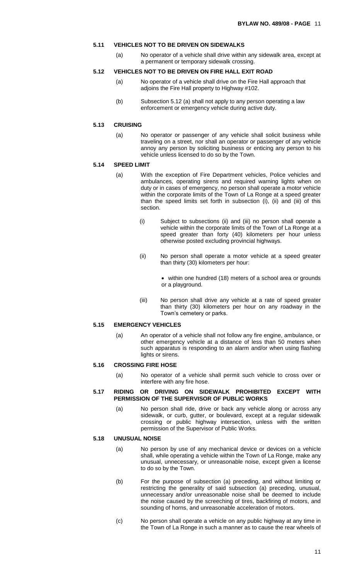#### **5.11 VEHICLES NOT TO BE DRIVEN ON SIDEWALKS**

(a) No operator of a vehicle shall drive within any sidewalk area, except at a permanent or temporary sidewalk crossing.

#### **5.12 VEHICLES NOT TO BE DRIVEN ON FIRE HALL EXIT ROAD**

- (a) No operator of a vehicle shall drive on the Fire Hall approach that adjoins the Fire Hall property to Highway #102.
- (b) Subsection 5.12 (a) shall not apply to any person operating a law enforcement or emergency vehicle during active duty.

#### **5.13 CRUISING**

(a) No operator or passenger of any vehicle shall solicit business while traveling on a street, nor shall an operator or passenger of any vehicle annoy any person by soliciting business or enticing any person to his vehicle unless licensed to do so by the Town.

#### **5.14 SPEED LIMIT**

- (a) With the exception of Fire Department vehicles, Police vehicles and ambulances, operating sirens and required warning lights when on duty or in cases of emergency, no person shall operate a motor vehicle within the corporate limits of the Town of La Ronge at a speed greater than the speed limits set forth in subsection (i), (ii) and (iii) of this section.
	- (i) Subject to subsections (ii) and (iii) no person shall operate a vehicle within the corporate limits of the Town of La Ronge at a speed greater than forty (40) kilometers per hour unless otherwise posted excluding provincial highways.
	- (ii) No person shall operate a motor vehicle at a speed greater than thirty (30) kilometers per hour:
		- within one hundred (18) meters of a school area or grounds or a playground.
	- (iii) No person shall drive any vehicle at a rate of speed greater than thirty (30) kilometers per hour on any roadway in the Town's cemetery or parks.

#### **5.15 EMERGENCY VEHICLES**

(a) An operator of a vehicle shall not follow any fire engine, ambulance, or other emergency vehicle at a distance of less than 50 meters when such apparatus is responding to an alarm and/or when using flashing lights or sirens.

#### **5.16 CROSSING FIRE HOSE**

(a) No operator of a vehicle shall permit such vehicle to cross over or interfere with any fire hose.

#### **5.17 RIDING OR DRIVING ON SIDEWALK PROHIBITED EXCEPT WITH PERMISSION OF THE SUPERVISOR OF PUBLIC WORKS**

(a) No person shall ride, drive or back any vehicle along or across any sidewalk, or curb, gutter, or boulevard, except at a regular sidewalk crossing or public highway intersection, unless with the written permission of the Supervisor of Public Works.

#### **5.18 UNUSUAL NOISE**

- (a) No person by use of any mechanical device or devices on a vehicle shall, while operating a vehicle within the Town of La Ronge, make any unusual, unnecessary, or unreasonable noise, except given a license to do so by the Town.
- (b) For the purpose of subsection (a) preceding, and without limiting or restricting the generality of said subsection (a) preceding, unusual, unnecessary and/or unreasonable noise shall be deemed to include the noise caused by the screeching of tires, backfiring of motors, and sounding of horns, and unreasonable acceleration of motors.
- (c) No person shall operate a vehicle on any public highway at any time in the Town of La Ronge in such a manner as to cause the rear wheels of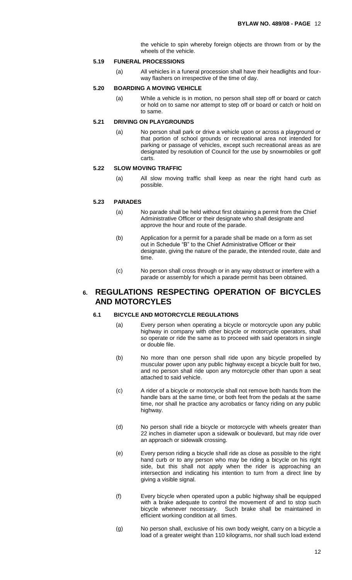the vehicle to spin whereby foreign objects are thrown from or by the wheels of the vehicle.

#### **5.19 FUNERAL PROCESSIONS**

(a) All vehicles in a funeral procession shall have their headlights and fourway flashers on irrespective of the time of day.

#### **5.20 BOARDING A MOVING VEHICLE**

(a) While a vehicle is in motion, no person shall step off or board or catch or hold on to same nor attempt to step off or board or catch or hold on to same.

#### **5.21 DRIVING ON PLAYGROUNDS**

(a) No person shall park or drive a vehicle upon or across a playground or that portion of school grounds or recreational area not intended for parking or passage of vehicles, except such recreational areas as are designated by resolution of Council for the use by snowmobiles or golf carts.

#### **5.22 SLOW MOVING TRAFFIC**

(a) All slow moving traffic shall keep as near the right hand curb as possible.

#### **5.23 PARADES**

- (a) No parade shall be held without first obtaining a permit from the Chief Administrative Officer or their designate who shall designate and approve the hour and route of the parade.
- (b) Application for a permit for a parade shall be made on a form as set out in Schedule "B" to the Chief Administrative Officer or their designate, giving the nature of the parade, the intended route, date and time.
- (c) No person shall cross through or in any way obstruct or interfere with a parade or assembly for which a parade permit has been obtained.

## **6. REGULATIONS RESPECTING OPERATION OF BICYCLES AND MOTORCYLES**

#### **6.1 BICYCLE AND MOTORCYCLE REGULATIONS**

- (a) Every person when operating a bicycle or motorcycle upon any public highway in company with other bicycle or motorcycle operators, shall so operate or ride the same as to proceed with said operators in single or double file.
- (b) No more than one person shall ride upon any bicycle propelled by muscular power upon any public highway except a bicycle built for two, and no person shall ride upon any motorcycle other than upon a seat attached to said vehicle.
- (c) A rider of a bicycle or motorcycle shall not remove both hands from the handle bars at the same time, or both feet from the pedals at the same time, nor shall he practice any acrobatics or fancy riding on any public highway.
- (d) No person shall ride a bicycle or motorcycle with wheels greater than 22 inches in diameter upon a sidewalk or boulevard, but may ride over an approach or sidewalk crossing.
- (e) Every person riding a bicycle shall ride as close as possible to the right hand curb or to any person who may be riding a bicycle on his right side, but this shall not apply when the rider is approaching an intersection and indicating his intention to turn from a direct line by giving a visible signal.
- (f) Every bicycle when operated upon a public highway shall be equipped with a brake adequate to control the movement of and to stop such bicycle whenever necessary. Such brake shall be maintained in efficient working condition at all times.
- (g) No person shall, exclusive of his own body weight, carry on a bicycle a load of a greater weight than 110 kilograms, nor shall such load extend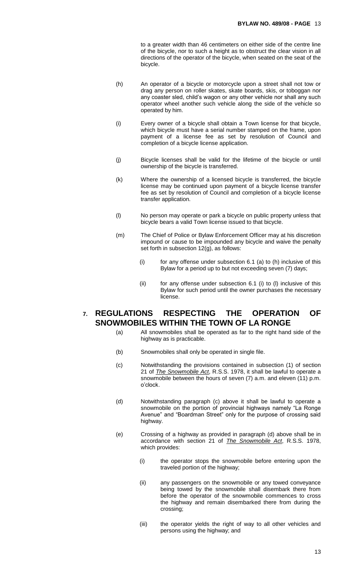to a greater width than 46 centimeters on either side of the centre line of the bicycle, nor to such a height as to obstruct the clear vision in all directions of the operator of the bicycle, when seated on the seat of the bicycle.

- (h) An operator of a bicycle or motorcycle upon a street shall not tow or drag any person on roller skates, skate boards, skis, or toboggan nor any coaster sled, child's wagon or any other vehicle nor shall any such operator wheel another such vehicle along the side of the vehicle so operated by him.
- (i) Every owner of a bicycle shall obtain a Town license for that bicycle, which bicycle must have a serial number stamped on the frame, upon payment of a license fee as set by resolution of Council and completion of a bicycle license application.
- (j) Bicycle licenses shall be valid for the lifetime of the bicycle or until ownership of the bicycle is transferred.
- (k) Where the ownership of a licensed bicycle is transferred, the bicycle license may be continued upon payment of a bicycle license transfer fee as set by resolution of Council and completion of a bicycle license transfer application.
- (l) No person may operate or park a bicycle on public property unless that bicycle bears a valid Town license issued to that bicycle.
- (m) The Chief of Police or Bylaw Enforcement Officer may at his discretion impound or cause to be impounded any bicycle and waive the penalty set forth in subsection 12(g), as follows:
	- $(i)$  for any offense under subsection 6.1 (a) to (h) inclusive of this Bylaw for a period up to but not exceeding seven (7) days;
	- (ii) for any offense under subsection  $6.1$  (i) to (I) inclusive of this Bylaw for such period until the owner purchases the necessary license.

## **7. REGULATIONS RESPECTING THE OPERATION OF SNOWMOBILES WITHIN THE TOWN OF LA RONGE**

- (a) All snowmobiles shall be operated as far to the right hand side of the highway as is practicable.
- (b) Snowmobiles shall only be operated in single file.
- (c) Notwithstanding the provisions contained in subsection (1) of section 21 of *The Snowmobile Act*, R.S.S. 1978, it shall be lawful to operate a snowmobile between the hours of seven (7) a.m. and eleven (11) p.m. o'clock.
- (d) Notwithstanding paragraph (c) above it shall be lawful to operate a snowmobile on the portion of provincial highways namely "La Ronge Avenue" and "Boardman Street" only for the purpose of crossing said highway.
- (e) Crossing of a highway as provided in paragraph (d) above shall be in accordance with section 21 of *The Snowmobile Act*, R.S.S. 1978, which provides:
	- (i) the operator stops the snowmobile before entering upon the traveled portion of the highway;
	- (ii) any passengers on the snowmobile or any towed conveyance being towed by the snowmobile shall disembark there from before the operator of the snowmobile commences to cross the highway and remain disembarked there from during the crossing;
	- (iii) the operator yields the right of way to all other vehicles and persons using the highway; and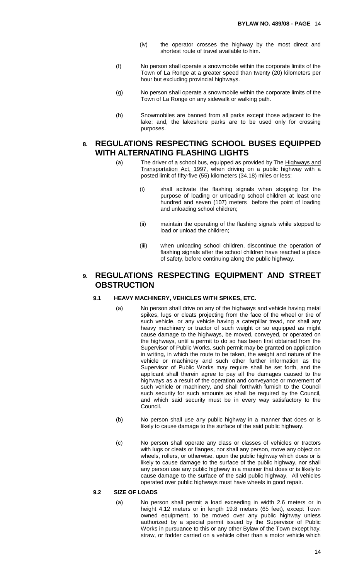- (iv) the operator crosses the highway by the most direct and shortest route of travel available to him.
- (f) No person shall operate a snowmobile within the corporate limits of the Town of La Ronge at a greater speed than twenty (20) kilometers per hour but excluding provincial highways.
- (g) No person shall operate a snowmobile within the corporate limits of the Town of La Ronge on any sidewalk or walking path.
- (h) Snowmobiles are banned from all parks except those adjacent to the lake; and, the lakeshore parks are to be used only for crossing purposes.

## **8. REGULATIONS RESPECTING SCHOOL BUSES EQUIPPED WITH ALTERNATING FLASHING LIGHTS**

- (a) The driver of a school bus, equipped as provided by The Highways and Transportation Act, 1997, when driving on a public highway with a posted limit of fifty-five (55) kilometers (34.18) miles or less:
	- (i) shall activate the flashing signals when stopping for the purpose of loading or unloading school children at least one hundred and seven (107) meters before the point of loading and unloading school children;
	- (ii) maintain the operating of the flashing signals while stopped to load or unload the children;
	- (iii) when unloading school children, discontinue the operation of flashing signals after the school children have reached a place of safety, before continuing along the public highway.

## **9. REGULATIONS RESPECTING EQUIPMENT AND STREET OBSTRUCTION**

#### **9.1 HEAVY MACHINERY, VEHICLES WITH SPIKES, ETC.**

- (a) No person shall drive on any of the highways and vehicle having metal spikes, lugs or cleats projecting from the face of the wheel or tire of such vehicle, or any vehicle having a caterpillar tread, nor shall any heavy machinery or tractor of such weight or so equipped as might cause damage to the highways, be moved, conveyed, or operated on the highways, until a permit to do so has been first obtained from the Supervisor of Public Works, such permit may be granted on application in writing, in which the route to be taken, the weight and nature of the vehicle or machinery and such other further information as the Supervisor of Public Works may require shall be set forth, and the applicant shall therein agree to pay all the damages caused to the highways as a result of the operation and conveyance or movement of such vehicle or machinery, and shall forthwith furnish to the Council such security for such amounts as shall be required by the Council, and which said security must be in every way satisfactory to the Council.
- (b) No person shall use any public highway in a manner that does or is likely to cause damage to the surface of the said public highway.
- (c) No person shall operate any class or classes of vehicles or tractors with lugs or cleats or flanges, nor shall any person, move any object on wheels, rollers, or otherwise, upon the public highway which does or is likely to cause damage to the surface of the public highway, nor shall any person use any public highway in a manner that does or is likely to cause damage to the surface of the said public highway. All vehicles operated over public highways must have wheels in good repair.

#### **9.2 SIZE OF LOADS**

(a) No person shall permit a load exceeding in width 2.6 meters or in height 4.12 meters or in length 19.8 meters (65 feet), except Town owned equipment, to be moved over any public highway unless authorized by a special permit issued by the Supervisor of Public Works in pursuance to this or any other Bylaw of the Town except hay, straw, or fodder carried on a vehicle other than a motor vehicle which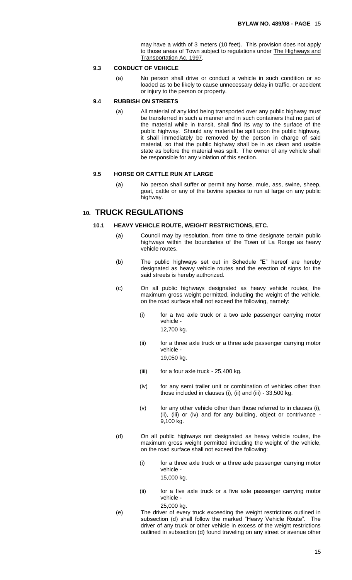may have a width of 3 meters (10 feet). This provision does not apply to those areas of Town subject to regulations under The Highways and Transportation Ac, 1997.

#### **9.3 CONDUCT OF VEHICLE**

(a) No person shall drive or conduct a vehicle in such condition or so loaded as to be likely to cause unnecessary delay in traffic, or accident or injury to the person or property.

#### **9.4 RUBBISH ON STREETS**

(a) All material of any kind being transported over any public highway must be transferred in such a manner and in such containers that no part of the material while in transit, shall find its way to the surface of the public highway. Should any material be spilt upon the public highway, it shall immediately be removed by the person in charge of said material, so that the public highway shall be in as clean and usable state as before the material was spilt. The owner of any vehicle shall be responsible for any violation of this section.

#### **9.5 HORSE OR CATTLE RUN AT LARGE**

(a) No person shall suffer or permit any horse, mule, ass, swine, sheep, goat, cattle or any of the bovine species to run at large on any public highway.

## **10. TRUCK REGULATIONS**

#### **10.1 HEAVY VEHICLE ROUTE, WEIGHT RESTRICTIONS, ETC.**

- (a) Council may by resolution, from time to time designate certain public highways within the boundaries of the Town of La Ronge as heavy vehicle routes.
- (b) The public highways set out in Schedule "E" hereof are hereby designated as heavy vehicle routes and the erection of signs for the said streets is hereby authorized.
- (c) On all public highways designated as heavy vehicle routes, the maximum gross weight permitted, including the weight of the vehicle, on the road surface shall not exceed the following, namely:
	- (i) for a two axle truck or a two axle passenger carrying motor vehicle -
		- 12,700 kg.
	- (ii) for a three axle truck or a three axle passenger carrying motor vehicle - 19,050 kg.
	- (iii) for a four axle truck 25,400 kg.
	- (iv) for any semi trailer unit or combination of vehicles other than those included in clauses (i), (ii) and (iii) - 33,500 kg.
	- (v) for any other vehicle other than those referred to in clauses (i), (ii), (iii) or (iv) and for any building, object or contrivance - 9,100 kg.
- (d) On all public highways not designated as heavy vehicle routes, the maximum gross weight permitted including the weight of the vehicle, on the road surface shall not exceed the following:
	- (i) for a three axle truck or a three axle passenger carrying motor vehicle -

15,000 kg.

- (ii) for a five axle truck or a five axle passenger carrying motor vehicle - 25,000 kg.
- (e) The driver of every truck exceeding the weight restrictions outlined in subsection (d) shall follow the marked "Heavy Vehicle Route". The driver of any truck or other vehicle in excess of the weight restrictions outlined in subsection (d) found traveling on any street or avenue other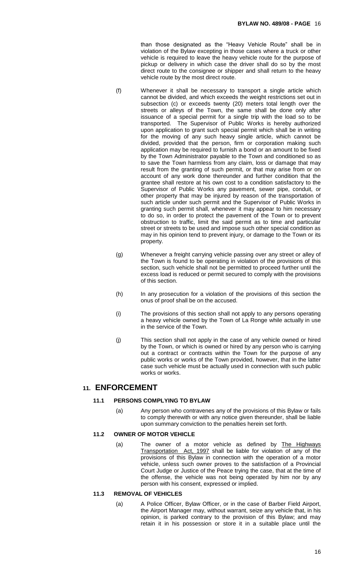than those designated as the "Heavy Vehicle Route" shall be in violation of the Bylaw excepting in those cases where a truck or other vehicle is required to leave the heavy vehicle route for the purpose of pickup or delivery in which case the driver shall do so by the most direct route to the consignee or shipper and shall return to the heavy vehicle route by the most direct route.

- 
- (f) Whenever it shall be necessary to transport a single article which cannot be divided, and which exceeds the weight restrictions set out in subsection (c) or exceeds twenty (20) meters total length over the streets or alleys of the Town, the same shall be done only after issuance of a special permit for a single trip with the load so to be transported. The Supervisor of Public Works is hereby authorized upon application to grant such special permit which shall be in writing for the moving of any such heavy single article, which cannot be divided, provided that the person, firm or corporation making such application may be required to furnish a bond or an amount to be fixed by the Town Administrator payable to the Town and conditioned so as to save the Town harmless from any claim, loss or damage that may result from the granting of such permit, or that may arise from or on account of any work done thereunder and further condition that the grantee shall restore at his own cost to a condition satisfactory to the Supervisor of Public Works any pavement, sewer pipe, conduit, or other property that may be injured by reason of the transportation of such article under such permit and the Supervisor of Public Works in granting such permit shall, whenever it may appear to him necessary to do so, in order to protect the pavement of the Town or to prevent obstruction to traffic, limit the said permit as to time and particular street or streets to be used and impose such other special condition as may in his opinion tend to prevent injury, or damage to the Town or its property.
- (g) Whenever a freight carrying vehicle passing over any street or alley of the Town is found to be operating in violation of the provisions of this section, such vehicle shall not be permitted to proceed further until the excess load is reduced or permit secured to comply with the provisions of this section.
- (h) In any prosecution for a violation of the provisions of this section the onus of proof shall be on the accused.
- (i) The provisions of this section shall not apply to any persons operating a heavy vehicle owned by the Town of La Ronge while actually in use in the service of the Town.
- (j) This section shall not apply in the case of any vehicle owned or hired by the Town, or which is owned or hired by any person who is carrying out a contract or contracts within the Town for the purpose of any public works or works of the Town provided, however, that in the latter case such vehicle must be actually used in connection with such public works or works.

## **11. ENFORCEMENT**

#### **11.1 PERSONS COMPLYING TO BYLAW**

(a) Any person who contravenes any of the provisions of this Bylaw or fails to comply therewith or with any notice given thereunder, shall be liable upon summary conviction to the penalties herein set forth.

#### **11.2 OWNER OF MOTOR VEHICLE**

(a) The owner of a motor vehicle as defined by The Highways Transportation Act, 1997 shall be liable for violation of any of the provisions of this Bylaw in connection with the operation of a motor vehicle, unless such owner proves to the satisfaction of a Provincial Court Judge or Justice of the Peace trying the case, that at the time of the offense, the vehicle was not being operated by him nor by any person with his consent, expressed or implied.

#### **11.3 REMOVAL OF VEHICLES**

(a) A Police Officer, Bylaw Officer, or in the case of Barber Field Airport, the Airport Manager may, without warrant, seize any vehicle that, in his opinion, is parked contrary to the provision of this Bylaw; and may retain it in his possession or store it in a suitable place until the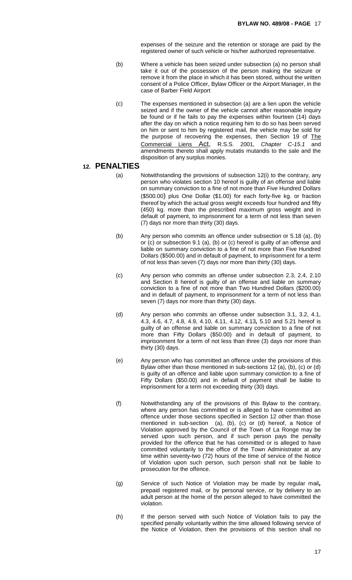expenses of the seizure and the retention or storage are paid by the registered owner of such vehicle or his/her authorized representative.

- (b) Where a vehicle has been seized under subsection (a) no person shall take it out of the possession of the person making the seizure or remove it from the place in which it has been stored, without the written consent of a Police Officer, Bylaw Officer or the Airport Manager, in the case of Barber Field Airport
- (c) The expenses mentioned in subsection (a) are a lien upon the vehicle seized and if the owner of the vehicle cannot after reasonable inquiry be found or if he fails to pay the expenses within fourteen (14) days after the day on which a notice requiring him to do so has been served on him or sent to him by registered mail, the vehicle may be sold for the purpose of recovering the expenses, then Section 19 of The Commercial Liens Act, R.S.S. 2001*, Chapter C-15.1* and amendments thereto shall apply mutatis mutandis to the sale and the disposition of any surplus monies.

#### **12. PENALTIES**

- (a) Notwithstanding the provisions of subsection 12(i) to the contrary, any person who violates section 10 hereof is guilty of an offense and liable on summary conviction to a fine of not more than Five Hundred Dollars (\$500.00) plus One Dollar (\$1.00) for each forty-five kg. or fraction thereof by which the actual gross weight exceeds four hundred and fifty (450) kg. more than the prescribed maximum gross weight and in default of payment, to imprisonment for a term of not less than seven (7) days nor more than thirty (30) days.
- (b) Any person who commits an offence under subsection or 5.18 (a), (b) or (c) or subsection 9.1 (a), (b) or (c) hereof is guilty of an offense and liable on summary conviction to a fine of not more than Five Hundred Dollars (\$500.00) and in default of payment, to imprisonment for a term of not less than seven (7) days nor more than thirty (30) days.
- (c) Any person who commits an offense under subsection 2.3, 2.4, 2.10 and Section 8 hereof is guilty of an offense and liable on summary conviction to a fine of not more than Two Hundred Dollars (\$200.00) and in default of payment, to imprisonment for a term of not less than seven (7) days nor more than thirty (30) days.
- (d) Any person who commits an offense under subsection 3.1, 3.2, 4.1, 4.3, 4.6, 4.7, 4.8, 4.9, 4.10, 4.11, 4.12, 4.13*,* 5.10 and 5.21 hereof is guilty of an offense and liable on summary conviction to a fine of not more than Fifty Dollars (\$50.00) and in default of payment, to imprisonment for a term of not less than three (3) days nor more than thirty (30) days.
- (e) Any person who has committed an offence under the provisions of this Bylaw other than those mentioned in sub-sections 12 (a), (b), (c) or (d) is guilty of an offence and liable upon summary conviction to a fine of Fifty Dollars (\$50.00) and in default of payment shall be liable to imprisonment for a term not exceeding thirty (30) days.
- (f) Notwithstanding any of the provisions of this Bylaw to the contrary, where any person has committed or is alleged to have committed an offence under those sections specified in Section 12 other than those mentioned in sub-section (a), (b), (c) or (d) hereof, a Notice of Violation approved by the Council of the Town of La Ronge may be served upon such person, and if such person pays the penalty provided for the offence that he has committed or is alleged to have committed voluntarily to the office of the Town Administrator at any time within seventy-two (72) hours of the time of service of the Notice of Violation upon such person, such person shall not be liable to prosecution for the offence.
- (g) Service of such Notice of Violation may be made by regular mail*,* prepaid registered mail, or by personal service, or by delivery to an adult person at the home of the person alleged to have committed the violation.
- (h) If the person served with such Notice of Violation fails to pay the specified penalty voluntarily within the time allowed following service of the Notice of Violation, then the provisions of this section shall no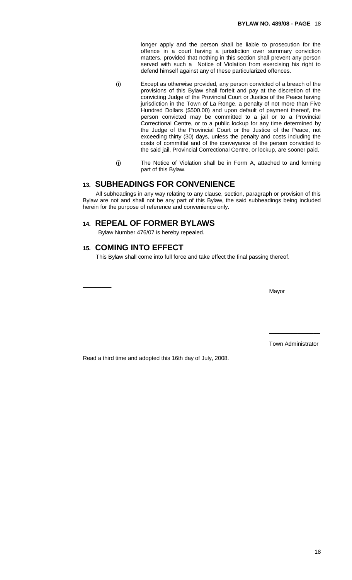longer apply and the person shall be liable to prosecution for the offence in a court having a jurisdiction over summary conviction matters, provided that nothing in this section shall prevent any person served with such a Notice of Violation from exercising his right to defend himself against any of these particularized offences.

- (i) Except as otherwise provided, any person convicted of a breach of the provisions of this Bylaw shall forfeit and pay at the discretion of the convicting Judge of the Provincial Court or Justice of the Peace having jurisdiction in the Town of La Ronge, a penalty of not more than Five Hundred Dollars (\$500.00) and upon default of payment thereof, the person convicted may be committed to a jail or to a Provincial Correctional Centre, or to a public lockup for any time determined by the Judge of the Provincial Court or the Justice of the Peace, not exceeding thirty (30) days, unless the penalty and costs including the costs of committal and of the conveyance of the person convicted to the said jail, Provincial Correctional Centre, or lockup, are sooner paid.
- (j) The Notice of Violation shall be in Form A, attached to and forming part of this Bylaw.

## **13. SUBHEADINGS FOR CONVENIENCE**

All subheadings in any way relating to any clause, section, paragraph or provision of this Bylaw are not and shall not be any part of this Bylaw, the said subheadings being included herein for the purpose of reference and convenience only.

## **14. REPEAL OF FORMER BYLAWS**

Bylaw Number 476/07 is hereby repealed.

## **15. COMING INTO EFFECT**

\_\_\_\_\_\_\_\_\_

 $\overline{\phantom{a}}$ 

This Bylaw shall come into full force and take effect the final passing thereof.

Mayor

Town Administrator

\_\_\_\_\_\_\_\_\_\_\_\_\_\_\_\_

\_\_\_\_\_\_\_\_\_\_\_\_\_\_\_\_

Read a third time and adopted this 16th day of July, 2008.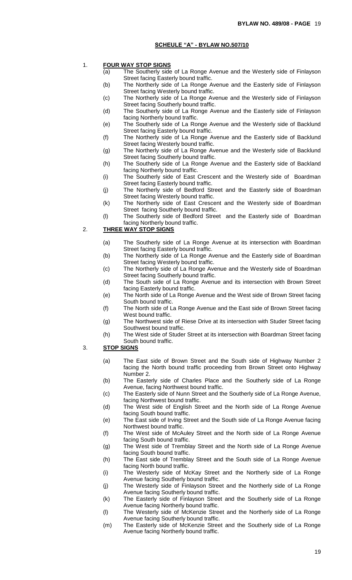#### **SCHEULE "A" - BYLAW NO.507/10**

- 1. **FOUR WAY STOP SIGNS**
	- (a) The Southerly side of La Ronge Avenue and the Westerly side of Finlayson Street facing Easterly bound traffic.
	- (b) The Northerly side of La Ronge Avenue and the Easterly side of Finlayson Street facing Westerly bound traffic.
	- (c) The Northerly side of La Ronge Avenue and the Westerly side of Finlayson Street facing Southerly bound traffic.
	- (d) The Southerly side of La Ronge Avenue and the Easterly side of Finlayson facing Northerly bound traffic.
	- (e) The Southerly side of La Ronge Avenue and the Westerly side of Backlund Street facing Easterly bound traffic.
	- (f) The Northerly side of La Ronge Avenue and the Easterly side of Backlund Street facing Westerly bound traffic.
	- (g) The Northerly side of La Ronge Avenue and the Westerly side of Backlund Street facing Southerly bound traffic.
	- (h) The Southerly side of La Ronge Avenue and the Easterly side of Backland facing Northerly bound traffic.
	- (i) The Southerly side of East Crescent and the Westerly side of Boardman Street facing Easterly bound traffic.
	- (j) The Northerly side of Bedford Street and the Easterly side of Boardman Street facing Westerly bound traffic.
	- (k) The Northerly side of East Crescent and the Westerly side of Boardman Street facing Southerly bound traffic.
	- (l) The Southerly side of Bedford Street and the Easterly side of Boardman facing Northerly bound traffic.

#### 2. **THREE WAY STOP SIGNS**

- (a) The Southerly side of La Ronge Avenue at its intersection with Boardman Street facing Easterly bound traffic.
- (b) The Northerly side of La Ronge Avenue and the Easterly side of Boardman Street facing Westerly bound traffic.
- (c) The Northerly side of La Ronge Avenue and the Westerly side of Boardman Street facing Southerly bound traffic.
- (d) The South side of La Ronge Avenue and its intersection with Brown Street facing Easterly bound traffic.
- (e) The North side of La Ronge Avenue and the West side of Brown Street facing South bound traffic.
- (f) The North side of La Ronge Avenue and the East side of Brown Street facing West bound traffic.
- (g) The Northwest side of Riese Drive at its intersection with Studer Street facing Southwest bound traffic.
- (h) The West side of Studer Street at its intersection with Boardman Street facing South bound traffic.
- 3. **STOP SIGNS**
	- (a) The East side of Brown Street and the South side of Highway Number 2 facing the North bound traffic proceeding from Brown Street onto Highway Number 2.
	- (b) The Easterly side of Charles Place and the Southerly side of La Ronge Avenue, facing Northwest bound traffic.
	- (c) The Easterly side of Nunn Street and the Southerly side of La Ronge Avenue, facing Northwest bound traffic.
	- (d) The West side of English Street and the North side of La Ronge Avenue facing South bound traffic.
	- (e) The East side of Irving Street and the South side of La Ronge Avenue facing Northwest bound traffic.
	- (f) The West side of McAuley Street and the North side of La Ronge Avenue facing South bound traffic.
	- (g) The West side of Tremblay Street and the North side of La Ronge Avenue facing South bound traffic.
	- (h) The East side of Tremblay Street and the South side of La Ronge Avenue facing North bound traffic.
	- (i) The Westerly side of McKay Street and the Northerly side of La Ronge Avenue facing Southerly bound traffic.
	- (j) The Westerly side of Finlayson Street and the Northerly side of La Ronge Avenue facing Southerly bound traffic.
	- (k) The Easterly side of Finlayson Street and the Southerly side of La Ronge Avenue facing Northerly bound traffic.
	- (l) The Westerly side of McKenzie Street and the Northerly side of La Ronge Avenue facing Southerly bound traffic.
	- (m) The Easterly side of McKenzie Street and the Southerly side of La Ronge Avenue facing Northerly bound traffic.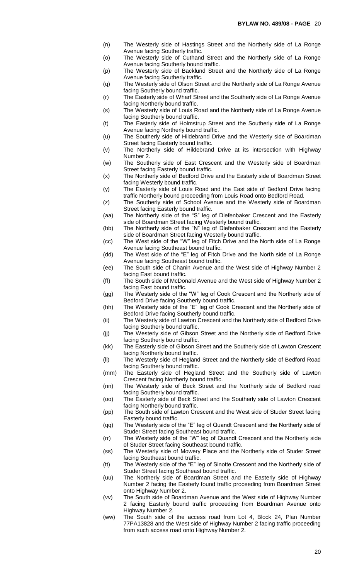- (n) The Westerly side of Hastings Street and the Northerly side of La Ronge Avenue facing Southerly traffic.
- (o) The Westerly side of Cuthand Street and the Northerly side of La Ronge Avenue facing Southerly bound traffic.
- (p) The Westerly side of Backlund Street and the Northerly side of La Ronge Avenue facing Southerly traffic.
- (q) The Westerly side of Olson Street and the Northerly side of La Ronge Avenue facing Southerly bound traffic.
- (r) The Easterly side of Wharf Street and the Southerly side of La Ronge Avenue facing Northerly bound traffic.
- (s) The Westerly side of Louis Road and the Northerly side of La Ronge Avenue facing Southerly bound traffic.
- (t) The Easterly side of Holmstrup Street and the Southerly side of La Ronge Avenue facing Northerly bound traffic.
- (u) The Southerly side of Hildebrand Drive and the Westerly side of Boardman Street facing Easterly bound traffic.
- (v) The Northerly side of Hildebrand Drive at its intersection with Highway Number 2.
- (w) The Southerly side of East Crescent and the Westerly side of Boardman Street facing Easterly bound traffic.
- (x) The Northerly side of Bedford Drive and the Easterly side of Boardman Street facing Westerly bound traffic.
- (y) The Easterly side of Louis Road and the East side of Bedford Drive facing traffic Northerly bound proceeding from Louis Road onto Bedford Road.
- (z) The Southerly side of School Avenue and the Westerly side of Boardman Street facing Easterly bound traffic.
- (aa) The Northerly side of the "S" leg of Diefenbaker Crescent and the Easterly side of Boardman Street facing Westerly bound traffic.
- (bb) The Northerly side of the "N" leg of Diefenbaker Crescent and the Easterly side of Boardman Street facing Westerly bound traffic.
- (cc) The West side of the "W" leg of Fitch Drive and the North side of La Ronge Avenue facing Southeast bound traffic.
- (dd) The West side of the "E" leg of Fitch Drive and the North side of La Ronge Avenue facing Southeast bound traffic.
- (ee) The South side of Chanin Avenue and the West side of Highway Number 2 facing East bound traffic.
- (ff) The South side of McDonald Avenue and the West side of Highway Number 2 facing East bound traffic.
- (gg) The Westerly side of the "W" leg of Cook Crescent and the Northerly side of Bedford Drive facing Southerly bound traffic.
- (hh) The Westerly side of the "E" leg of Cook Crescent and the Northerly side of Bedford Drive facing Southerly bound traffic.
- (ii) The Westerly side of Lawton Crescent and the Northerly side of Bedford Drive facing Southerly bound traffic.
- (jj) The Westerly side of Gibson Street and the Northerly side of Bedford Drive facing Southerly bound traffic.
- (kk) The Easterly side of Gibson Street and the Southerly side of Lawton Crescent facing Northerly bound traffic.
- (ll) The Westerly side of Hegland Street and the Northerly side of Bedford Road facing Southerly bound traffic.
- (mm) The Easterly side of Hegland Street and the Southerly side of Lawton Crescent facing Northerly bound traffic.
- (nn) The Westerly side of Beck Street and the Northerly side of Bedford road facing Southerly bound traffic.
- (oo) The Easterly side of Beck Street and the Southerly side of Lawton Crescent facing Northerly bound traffic.
- (pp) The South side of Lawton Crescent and the West side of Studer Street facing Easterly bound traffic.
- (qq) The Westerly side of the "E" leg of Quandt Crescent and the Northerly side of Studer Street facing Southeast bound traffic.
- (rr) The Westerly side of the "W" leg of Quandt Crescent and the Northerly side of Studer Street facing Southeast bound traffic.
- (ss) The Westerly side of Mowery Place and the Northerly side of Studer Street facing Southeast bound traffic.
- (tt) The Westerly side of the "E" leg of Sinotte Crescent and the Northerly side of Studer Street facing Southeast bound traffic.
- (uu) The Northerly side of Boardman Street and the Easterly side of Highway Number 2 facing the Easterly found traffic proceeding from Boardman Street onto Highway Number 2.
- (vv) The South side of Boardman Avenue and the West side of Highway Number 2 facing Easterly bound traffic proceeding from Boardman Avenue onto Highway Number 2.
- (ww) The South side of the access road from Lot 4, Block 24, Plan Number 77PA13828 and the West side of Highway Number 2 facing traffic proceeding from such access road onto Highway Number 2.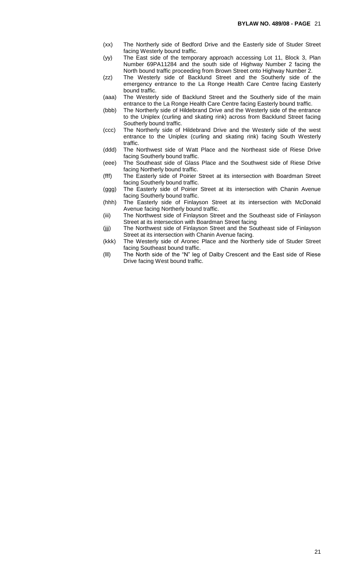- (xx) The Northerly side of Bedford Drive and the Easterly side of Studer Street facing Westerly bound traffic.
- (yy) The East side of the temporary approach accessing Lot 11, Block 3, Plan Number 69PA11284 and the south side of Highway Number 2 facing the North bound traffic proceeding from Brown Street onto Highway Number 2.
- (zz) The Westerly side of Backlund Street and the Southerly side of the emergency entrance to the La Ronge Health Care Centre facing Easterly bound traffic.
- (aaa) The Westerly side of Backlund Street and the Southerly side of the main entrance to the La Ronge Health Care Centre facing Easterly bound traffic.
- (bbb) The Northerly side of Hildebrand Drive and the Westerly side of the entrance to the Uniplex (curling and skating rink) across from Backlund Street facing Southerly bound traffic.
- (ccc) The Northerly side of Hildebrand Drive and the Westerly side of the west entrance to the Uniplex (curling and skating rink) facing South Westerly traffic.
- (ddd) The Northwest side of Watt Place and the Northeast side of Riese Drive facing Southerly bound traffic.
- (eee) The Southeast side of Glass Place and the Southwest side of Riese Drive facing Northerly bound traffic.
- (fff) The Easterly side of Poirier Street at its intersection with Boardman Street facing Southerly bound traffic.
- (ggg) The Easterly side of Poirier Street at its intersection with Chanin Avenue facing Southerly bound traffic.
- (hhh) The Easterly side of Finlayson Street at its intersection with McDonald Avenue facing Northerly bound traffic.
- (iii) The Northwest side of Finlayson Street and the Southeast side of Finlayson Street at its intersection with Boardman Street facing
- (jjj) The Northwest side of Finlayson Street and the Southeast side of Finlayson Street at its intersection with Chanin Avenue facing.
- (kkk) The Westerly side of Aronec Place and the Northerly side of Studer Street facing Southeast bound traffic.
- (lll) The North side of the "N" leg of Dalby Crescent and the East side of Riese Drive facing West bound traffic.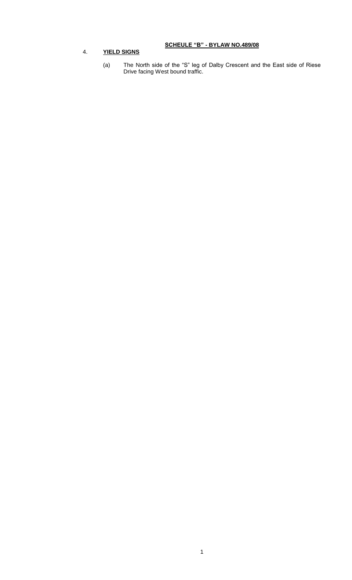## **SCHEULE "B" - BYLAW NO.489/08**

## 4. **YIELD SIGNS**

(a) The North side of the "S" leg of Dalby Crescent and the East side of Riese Drive facing West bound traffic.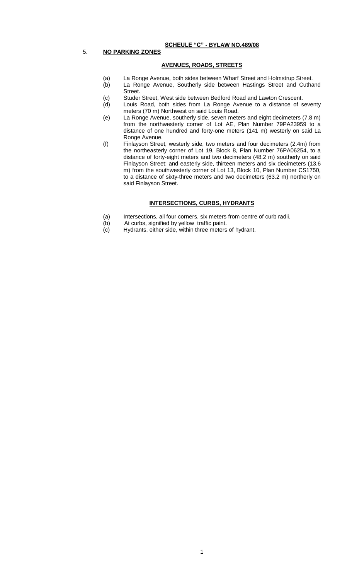#### **SCHEULE "C" - BYLAW NO.489/08**

#### 5. **NO PARKING ZONES**

#### **AVENUES, ROADS, STREETS**

- (a) La Ronge Avenue, both sides between Wharf Street and Holmstrup Street.
- (b) La Ronge Avenue, Southerly side between Hastings Street and Cuthand Street.
- (c) Studer Street, West side between Bedford Road and Lawton Crescent.
- (d) Louis Road, both sides from La Ronge Avenue to a distance of seventy meters (70 m) Northwest on said Louis Road.
- (e) La Ronge Avenue, southerly side, seven meters and eight decimeters (7.8 m) from the northwesterly corner of Lot AE, Plan Number 79PA23959 to a distance of one hundred and forty-one meters (141 m) westerly on said La Ronge Avenue.
- (f) Finlayson Street, westerly side, two meters and four decimeters (2.4m) from the northeasterly corner of Lot 19, Block 8, Plan Number 76PA06254, to a distance of forty-eight meters and two decimeters (48.2 m) southerly on said Finlayson Street; and easterly side, thirteen meters and six decimeters (13.6 m) from the southwesterly corner of Lot 13, Block 10, Plan Number CS1750, to a distance of sixty-three meters and two decimeters (63.2 m) northerly on said Finlayson Street.

#### **INTERSECTIONS, CURBS, HYDRANTS**

- (a) Intersections, all four corners, six meters from centre of curb radii.
- (b) At curbs, signified by yellow traffic paint.
- (c) Hydrants, either side, within three meters of hydrant.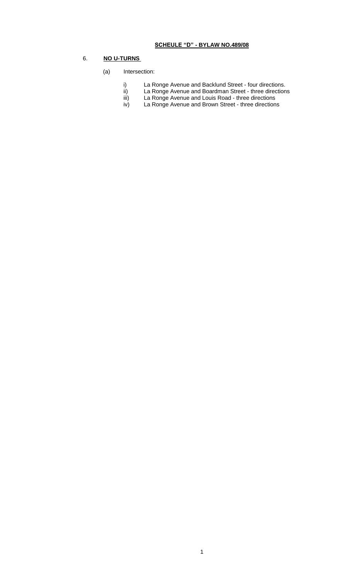## **SCHEULE "D" - BYLAW NO.489/08**

## 6. **NO U-TURNS**

#### (a) Intersection:

- i) La Ronge Avenue and Backlund Street four directions.<br>ii) La Ronge Avenue and Boardman Street three direction
- ii) La Ronge Avenue and Boardman Street three directions
	- iii) La Ronge Avenue and Louis Road three directions
	- iv) La Ronge Avenue and Brown Street three directions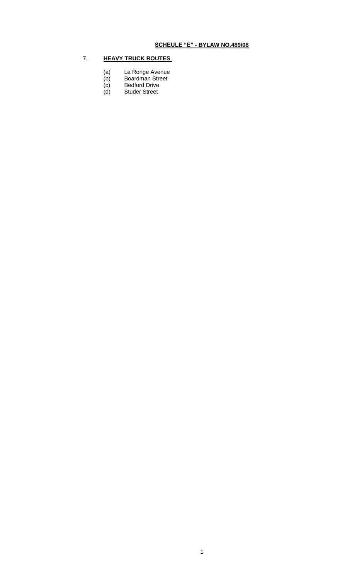## 7. **HEAVY TRUCK ROUTES**

- (a) La Ronge Avenue (a) La Ronge Ave<br>
(b) Boardman Street<br>
(c) Bedford Drive<br>
(d) Studer Street
- (b) Boardman Street
- (c) Bedford Drive
-